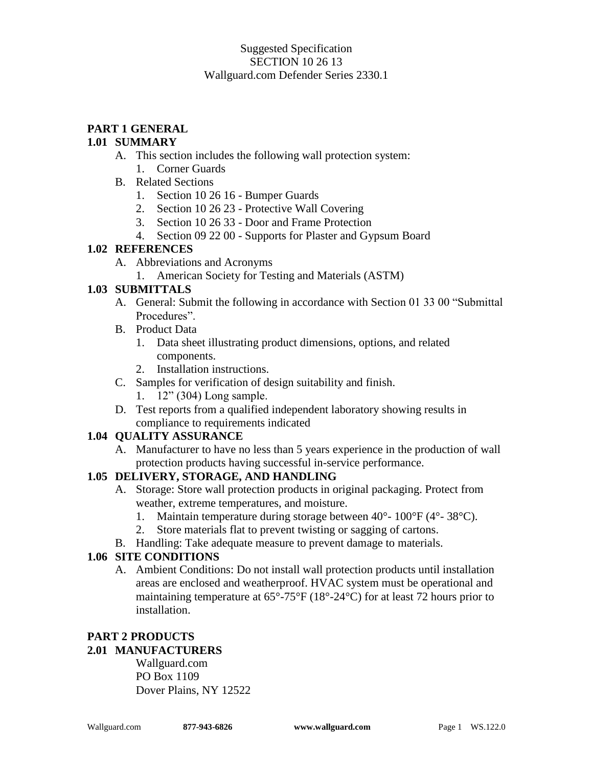#### Suggested Specification SECTION 10 26 13 Wallguard.com Defender Series 2330.1

# **PART 1 GENERAL**

#### **1.01 SUMMARY**

- A. This section includes the following wall protection system:
	- 1. Corner Guards
- B. Related Sections
	- 1. Section 10 26 16 Bumper Guards
	- 2. Section 10 26 23 Protective Wall Covering
	- 3. Section 10 26 33 Door and Frame Protection
	- 4. Section 09 22 00 Supports for Plaster and Gypsum Board

#### **1.02 REFERENCES**

- A. Abbreviations and Acronyms
	- 1. American Society for Testing and Materials (ASTM)

### **1.03 SUBMITTALS**

- A. General: Submit the following in accordance with Section 01 33 00 "Submittal Procedures".
- B. Product Data
	- 1. Data sheet illustrating product dimensions, options, and related components.
	- 2. Installation instructions.
- C. Samples for verification of design suitability and finish.
	- 1. 12" (304) Long sample.
- D. Test reports from a qualified independent laboratory showing results in compliance to requirements indicated

### **1.04 QUALITY ASSURANCE**

A. Manufacturer to have no less than 5 years experience in the production of wall protection products having successful in-service performance.

### **1.05 DELIVERY, STORAGE, AND HANDLING**

- A. Storage: Store wall protection products in original packaging. Protect from weather, extreme temperatures, and moisture.
	- 1. Maintain temperature during storage between  $40^{\circ}$   $100^{\circ}$ F ( $4^{\circ}$   $38^{\circ}$ C).
	- 2. Store materials flat to prevent twisting or sagging of cartons.
- B. Handling: Take adequate measure to prevent damage to materials.

### **1.06 SITE CONDITIONS**

A. Ambient Conditions: Do not install wall protection products until installation areas are enclosed and weatherproof. HVAC system must be operational and maintaining temperature at 65°-75°F (18°-24°C) for at least 72 hours prior to installation.

#### **PART 2 PRODUCTS 2.01 MANUFACTURERS**

Wallguard.com PO Box 1109 Dover Plains, NY 12522